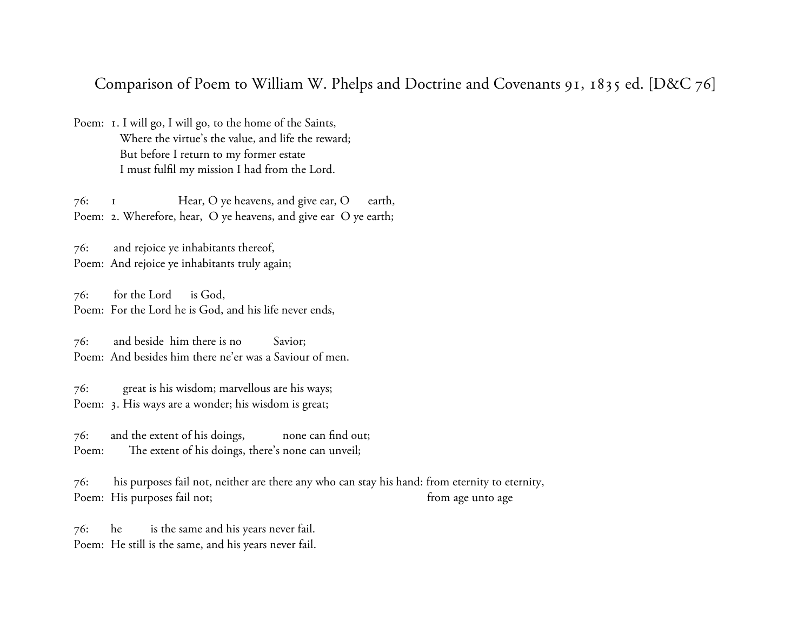## Comparison of Poem to William W. Phelps and Doctrine and Covenants 91, 1835 ed. [D&C 76]

Poem: 1. I will go, I will go, to the home of the Saints, Where the virtue's the value, and life the reward; But before I return to my former estate I must fulfil my mission I had from the Lord.

76: 1 Hear, O ye heavens, and give ear, O earth, Poem: 2. Wherefore, hear, O ye heavens, and give ear O ye earth;

76: and rejoice ye inhabitants thereof, Poem: And rejoice ye inhabitants truly again;

76: for the Lord is God, Poem: For the Lord he is God, and his life never ends,

76: and beside him there is no Savior; Poem: And besides him there ne'er was a Saviour of men.

76: great is his wisdom; marvellous are his ways; Poem: 3. His ways are a wonder; his wisdom is great;

76: and the extent of his doings, none can find out; Poem: The extent of his doings, there's none can unveil;

76: his purposes fail not, neither are there any who can stay his hand: from eternity to eternity, Poem: His purposes fail not; from age unto age

76: he is the same and his years never fail. Poem: He still is the same, and his years never fail.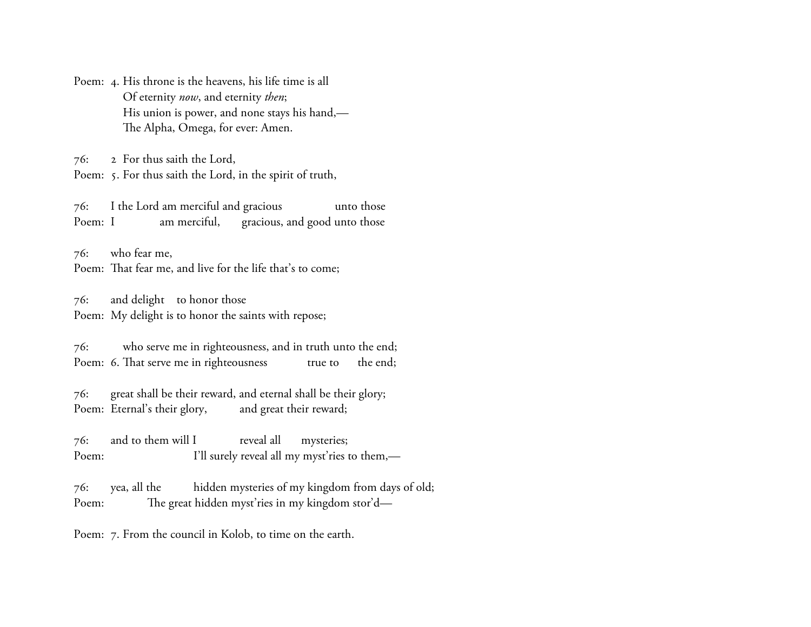Poem: 4. His throne is the heavens, his life time is all Of eternity *now*, and eternity *then*; His union is power, and none stays his hand,— The Alpha, Omega, for ever: Amen.

76: 2 For thus saith the Lord, Poem: 5. For thus saith the Lord, in the spirit of truth,

76: I the Lord am merciful and gracious unto those Poem: I am merciful, gracious, and good unto those

76: who fear me, Poem: That fear me, and live for the life that's to come;

76: and delight to honor those Poem: My delight is to honor the saints with repose;

76: who serve me in righteousness, and in truth unto the end; Poem: 6. That serve me in righteousness true to the end;

76: great shall be their reward, and eternal shall be their glory; Poem: Eternal's their glory, and great their reward;

76: and to them will I reveal all mysteries; Poem: I'll surely reveal all my myst'ries to them,—

76: yea, all the hidden mysteries of my kingdom from days of old; Poem: The great hidden myst'ries in my kingdom stor'd—

Poem: 7. From the council in Kolob, to time on the earth.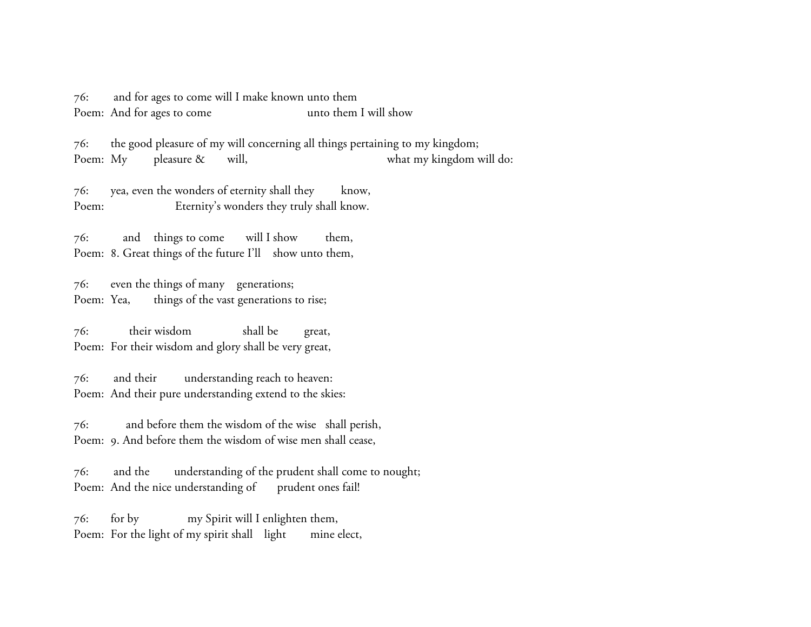76: and for ages to come will I make known unto them Poem: And for ages to come unto them I will show

76: the good pleasure of my will concerning all things pertaining to my kingdom; Poem: My pleasure & will, what my kingdom will do:

76: yea, even the wonders of eternity shall they know, Poem: Eternity's wonders they truly shall know.

76: and things to come will I show them, Poem: 8. Great things of the future I'll show unto them,

76: even the things of many generations; Poem: Yea, things of the vast generations to rise;

76: their wisdom shall be great, Poem: For their wisdom and glory shall be very great,

76: and their understanding reach to heaven: Poem: And their pure understanding extend to the skies:

76: and before them the wisdom of the wise shall perish, Poem: 9. And before them the wisdom of wise men shall cease,

76: and the understanding of the prudent shall come to nought; Poem: And the nice understanding of prudent ones fail!

76: for by my Spirit will I enlighten them, Poem: For the light of my spirit shall light mine elect,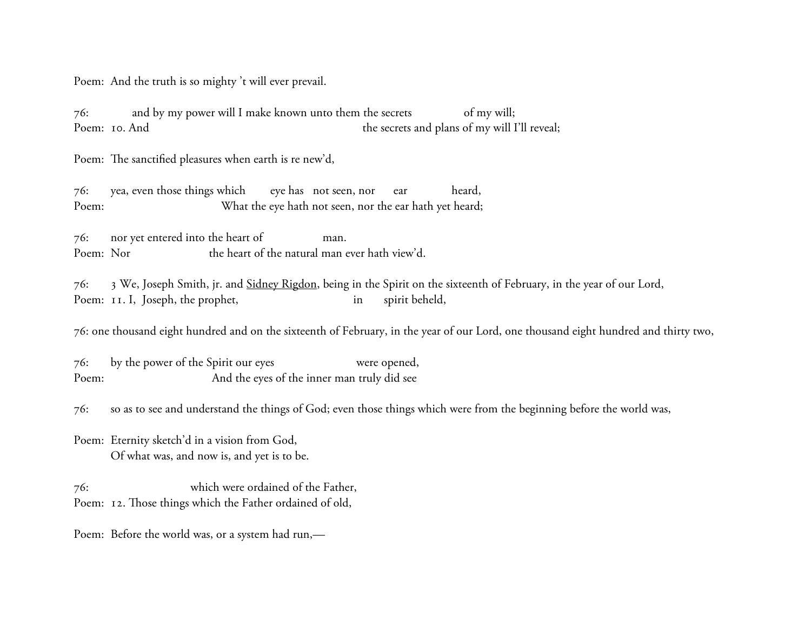Poem: And the truth is so mighty 't will ever prevail.

76: and by my power will I make known unto them the secrets of my will; Poem: 10. And the secrets and plans of my will I'll reveal;

Poem: The sanctified pleasures when earth is re new'd,

76: yea, even those things which eye has not seen, nor ear heard, Poem: What the eye hath not seen, nor the ear hath yet heard;

76: nor yet entered into the heart of man. Poem: Nor the heart of the natural man ever hath view'd.

76: 3 We, Joseph Smith, jr. and [Sidney Rigdon,](http://www.josephsmithpapers.org/paper-summary/doctrine-and-covenants-1835/233#7479189572329498095) being in the Spirit on the sixteenth of February, in the year of our Lord, Poem: 11. I, Joseph, the prophet, in spirit beheld,

76: one thousand eight hundred and on the sixteenth of February, in the year of our Lord, one thousand eight hundred and thirty two,

76: by the power of the Spirit our eyes were opened, Poem: And the eyes of the inner man truly did see

76: so as to see and understand the things of God; even those things which were from the beginning before the world was,

Poem: Eternity sketch'd in a vision from God, Of what was, and now is, and yet is to be.

76: which were ordained of the Father, Poem: 12. Those things which the Father ordained of old,

Poem: Before the world was, or a system had run,—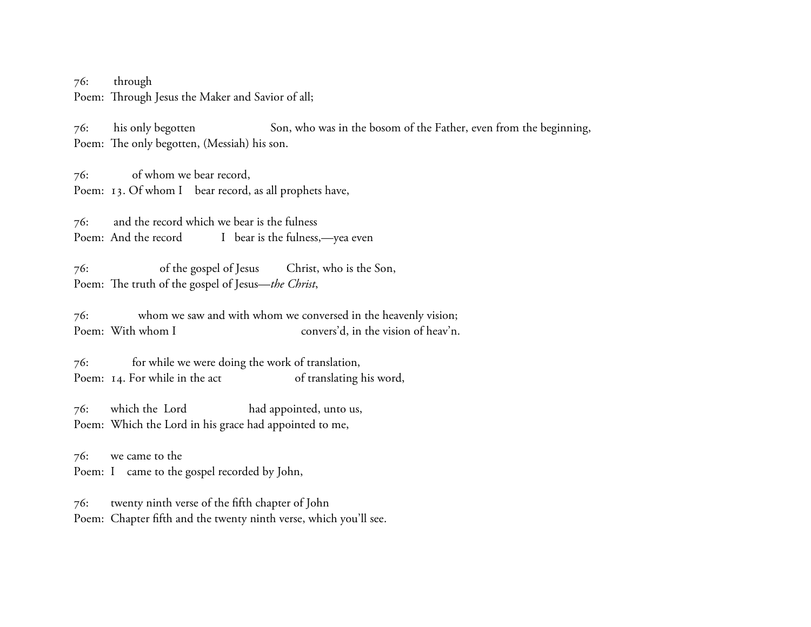76: through Poem: Through Jesus the Maker and Savior of all;

76: his only begotten Son, who was in the bosom of the Father, even from the beginning, Poem: The only begotten, (Messiah) his son.

76: of whom we bear record, Poem: 13. Of whom I bear record, as all prophets have,

76: and the record which we bear is the fulness Poem: And the record I bear is the fulness,—yea even

76: of the gospel of Jesus Christ, who is the Son, Poem: The truth of the gospel of Jesus—*the Christ*,

76: whom we saw and with whom we conversed in the heavenly vision; Poem: With whom I convers'd, in the vision of heav'n.

76: for while we were doing the work of translation, Poem: 14. For while in the act of translating his word,

76: which the Lord had appointed, unto us, Poem: Which the Lord in his grace had appointed to me,

76: we came to the Poem: I came to the gospel recorded by John,

76: twenty ninth verse of the fifth chapter of John Poem: Chapter fifth and the twenty ninth verse, which you'll see.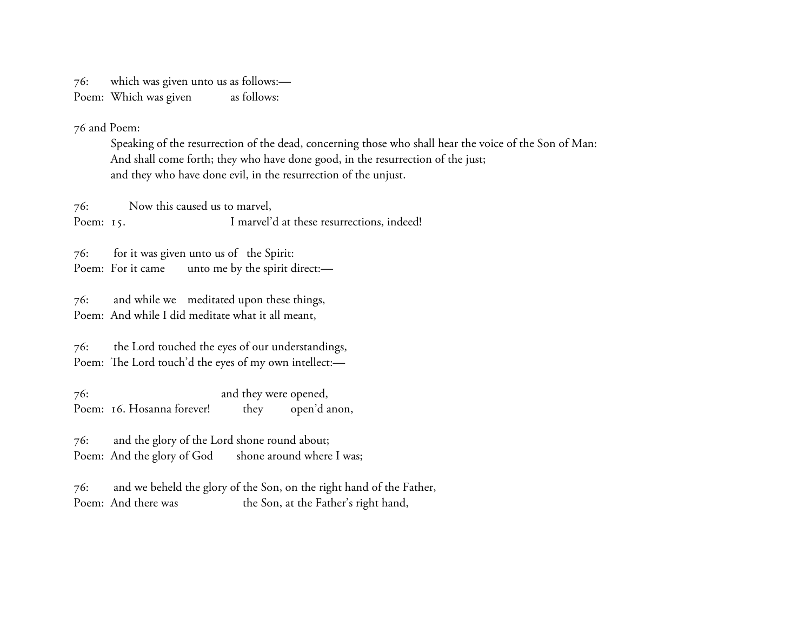76: which was given unto us as follows:— Poem: Which was given as follows:

76 and Poem:

Speaking of the resurrection of the dead, concerning those who shall hear the voice of the Son of Man: And shall come forth; they who have done good, in the resurrection of the just; and they who have done evil, in the resurrection of the unjust.

76: Now this caused us to marvel, Poem: 15. I marvel'd at these resurrections, indeed!

76: for it was given unto us of the Spirit: Poem: For it came unto me by the spirit direct:-

76: and while we meditated upon these things, Poem: And while I did meditate what it all meant,

76: the Lord touched the eyes of our understandings, Poem: The Lord touch'd the eyes of my own intellect:-

76: and they were opened, Poem: 16. Hosanna forever! they open'd anon,

76: and the glory of the Lord shone round about; Poem: And the glory of God shone around where I was;

76: and we beheld the glory of the Son, on the right hand of the Father, Poem: And there was the Son, at the Father's right hand,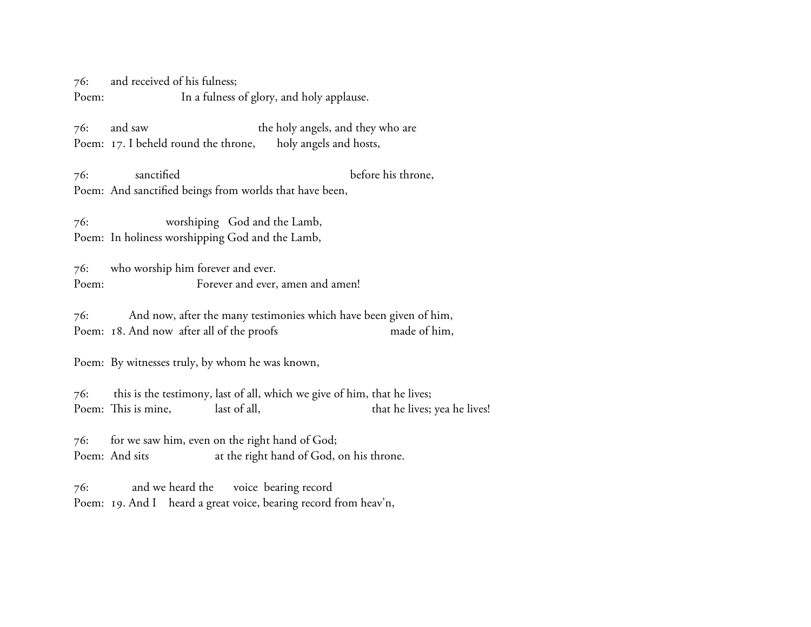76: and received of his fulness; Poem: In a fulness of glory, and holy applause.

76: and saw the holy angels, and they who are Poem: 17. I beheld round the throne, holy angels and hosts,

76: sanctified before his throne, Poem: And sanctified beings from worlds that have been,

76: worshiping God and the Lamb, Poem: In holiness worshipping God and the Lamb,

76: who worship him forever and ever. Poem: Forever and ever, amen and amen!

76: And now, after the many testimonies which have been given of him, Poem: 18. And now after all of the proofs made of him,

Poem: By witnesses truly, by whom he was known,

76: this is the testimony, last of all, which we give of him, that he lives; Poem: This is mine, last of all, that he lives; yea he lives!

76: for we saw him, even on the right hand of God; Poem: And sits at the right hand of God, on his throne.

76: and we heard the voice bearing record Poem: 19. And I heard a great voice, bearing record from heav'n,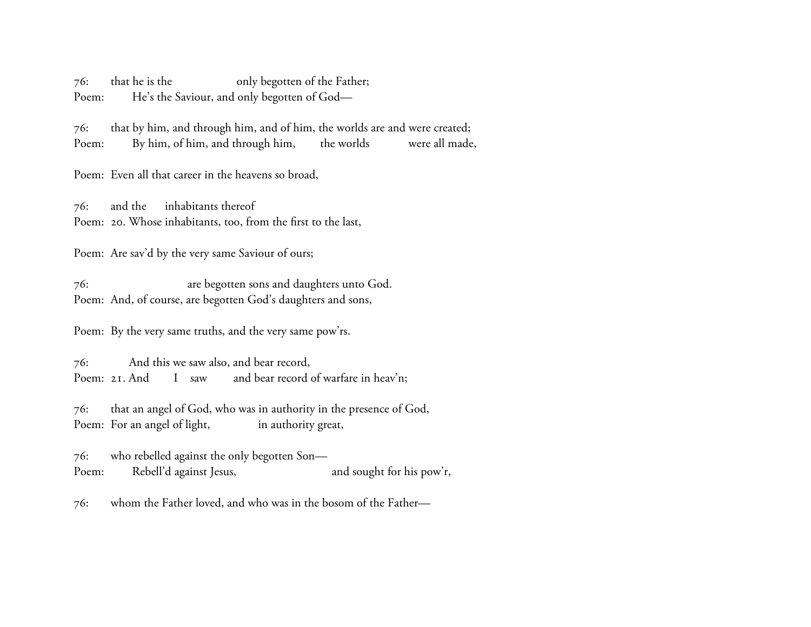76: that he is the only begotten of the Father; Poem: He's the Saviour, and only begotten of God-

76: that by him, and through him, and of him, the worlds are and were created; Poem: By him, of him, and through him, the worlds were all made,

Poem: Even all that career in the heavens so broad,

76: and the inhabitants thereof Poem: 20. Whose inhabitants, too, from the first to the last,

Poem: Are sav'd by the very same Saviour of ours;

76: are begotten sons and daughters unto God. Poem: And, of course, are begotten God's daughters and sons,

Poem: By the very same truths, and the very same pow'rs.

76: And this we saw also, and bear record, Poem: 21. And I saw and bear record of warfare in heav'n;

76: that an angel of God, who was in authority in the presence of God, Poem: For an angel of light, in authority great,

76: who rebelled against the only begotten Son— Poem: Rebell'd against Jesus, and sought for his pow'r,

76: whom the Father loved, and who was in the bosom of the Father—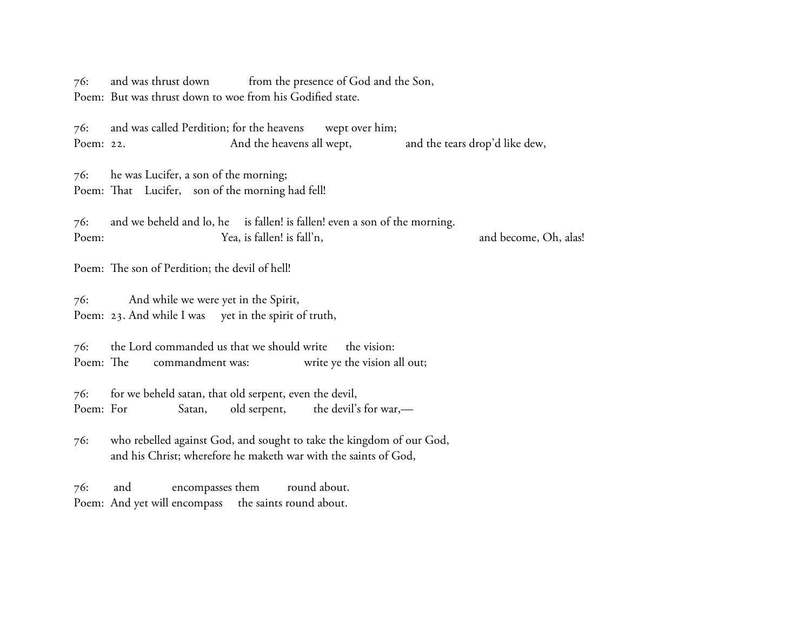76: and was thrust down from the presence of God and the Son, Poem: But was thrust down to woe from his Godified state.

76: and was called Perdition; for the heavens wept over him; Poem: 22. And the heavens all wept, and the tears drop'd like dew,

76: he was Lucifer, a son of the morning; Poem: That Lucifer, son of the morning had fell!

76: and we beheld and lo, he is fallen! is fallen! even a son of the morning. Poem: Tea, is fallen! is fall'n, the mode of the come, Oh, alas!

Poem: The son of Perdition; the devil of hell!

76: And while we were yet in the Spirit, Poem: 23. And while I was yet in the spirit of truth,

76: the Lord commanded us that we should write the vision: Poem: The commandment was: write ye the vision all out;

76: for we beheld satan, that old serpent, even the devil, Poem: For Satan, old serpent, the devil's for war,—

76: who rebelled against God, and sought to take the kingdom of our God, and his Christ; wherefore he maketh war with the saints of God,

76: and encompasses them round about. Poem: And yet will encompass the saints round about.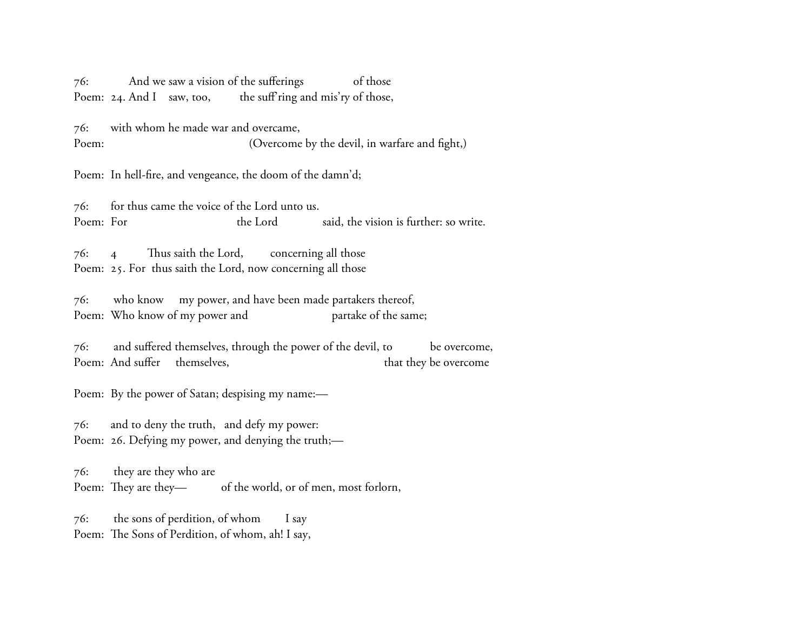76: And we saw a vision of the sufferings of those Poem: 24. And I saw, too, the suff ring and mis'ry of those,

76: with whom he made war and overcame, Poem: (Overcome by the devil, in warfare and fight,)

Poem: In hell-fire, and vengeance, the doom of the damn'd;

76: for thus came the voice of the Lord unto us. Poem: For the Lord said, the vision is further: so write.

 $76:$  4 Thus saith the Lord, concerning all those Poem: 25. For thus saith the Lord, now concerning all those

76: who know my power, and have been made partakers thereof, Poem: Who know of my power and partake of the same;

76: and suffered themselves, through the power of the devil, to be overcome, Poem: And suffer themselves, that they be overcome

Poem: By the power of Satan; despising my name:—

76: and to deny the truth, and defy my power: Poem: 26. Defying my power, and denying the truth;—

76: they are they who are Poem: They are they-<br>of the world, or of men, most forlorn,

76: the sons of perdition, of whom I say Poem: The Sons of Perdition, of whom, ah! I say,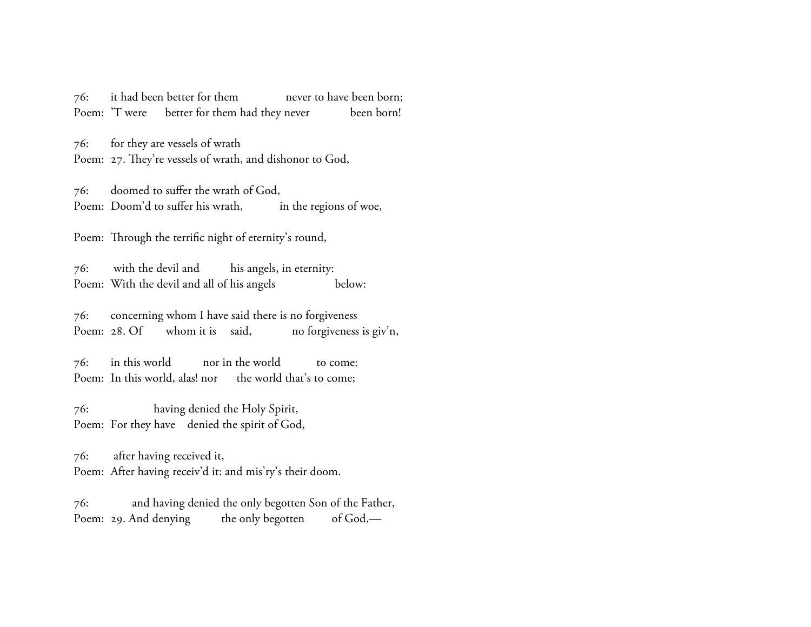76: it had been better for them never to have been born; Poem: 'T were better for them had they never been born!

76: for they are vessels of wrath Poem: 27. They're vessels of wrath, and dishonor to God,

76: doomed to suffer the wrath of God, Poem: Doom'd to suffer his wrath, in the regions of woe,

Poem: Through the terrific night of eternity's round,

76: with the devil and his angels, in eternity: Poem: With the devil and all of his angels below:

76: concerning whom I have said there is no forgiveness Poem: 28. Of whom it is said, no forgiveness is giv'n,

76: in this world nor in the world to come: Poem: In this world, alas! nor the world that's to come;

76: having denied the Holy Spirit, Poem: For they have denied the spirit of God,

76: after having received it, Poem: After having receiv'd it: and mis'ry's their doom.

76: and having denied the only begotten Son of the Father, Poem: 29. And denying the only begotten of God,—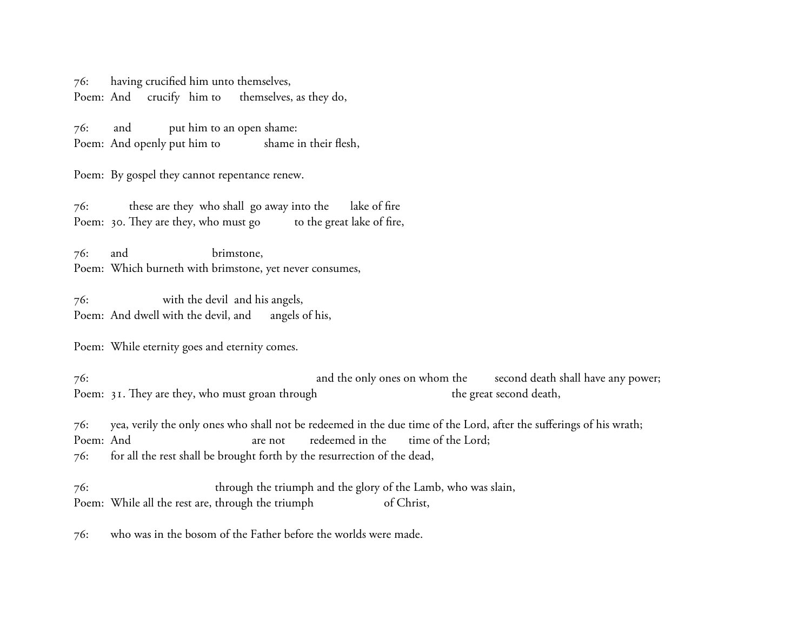76: having crucified him unto themselves, Poem: And crucify him to themselves, as they do,

76: and put him to an open shame: Poem: And openly put him to shame in their flesh,

Poem: By gospel they cannot repentance renew.

76: these are they who shall go away into the lake of fire Poem: 30. They are they, who must go to the great lake of fire,

76: and brimstone, Poem: Which burneth with brimstone, yet never consumes,

76: with the devil and his angels, Poem: And dwell with the devil, and angels of his,

Poem: While eternity goes and eternity comes.

76: and the only ones on whom the second death shall have any power; Poem: 31. They are they, who must groan through the great second death,

76: yea, verily the only ones who shall not be redeemed in the due time of the Lord, after the sufferings of his wrath; Poem: And are not redeemed in the time of the Lord; 76: for all the rest shall be brought forth by the resurrection of the dead,

76: through the triumph and the glory of the Lamb, who was slain, Poem: While all the rest are, through the triumph of Christ,

76: who was in the bosom of the Father before the worlds were made.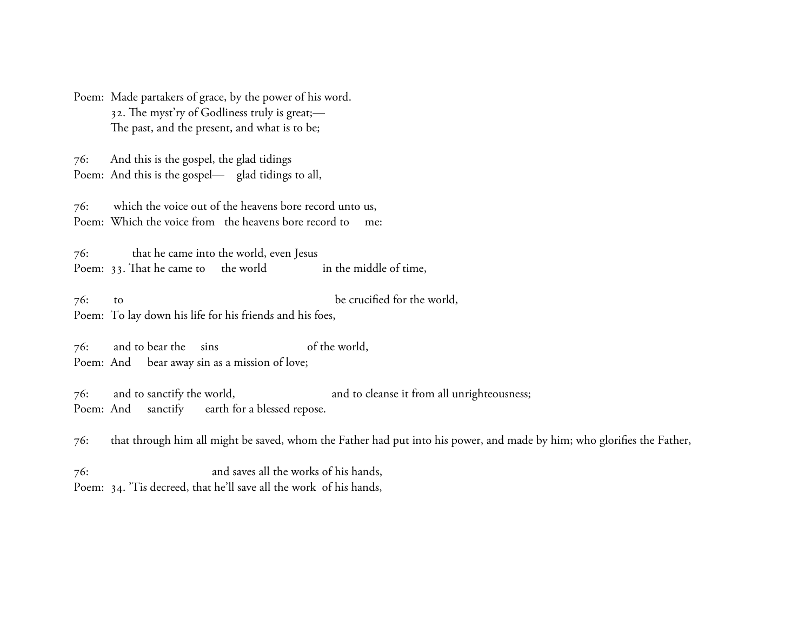Poem: Made partakers of grace, by the power of his word. 32. The myst'ry of Godliness truly is great;-The past, and the present, and what is to be;

76: And this is the gospel, the glad tidings Poem: And this is the gospel— glad tidings to all,

76: which the voice out of the heavens bore record unto us, Poem: Which the voice from the heavens bore record to me:

76: that he came into the world, even Jesus Poem: 33. That he came to the world in the middle of time,

76: to be crucified for the world, Poem: To lay down his life for his friends and his foes,

76: and to bear the sins of the world, Poem: And bear away sin as a mission of love;

76: and to sanctify the world, and to cleanse it from all unrighteousness; Poem: And sanctify earth for a blessed repose.

76: that through him all might be saved, whom the Father had put into his power, and made by him; who glorifies the Father,

76: and saves all the works of his hands, Poem: 34. 'Tis decreed, that he'll save all the work of his hands,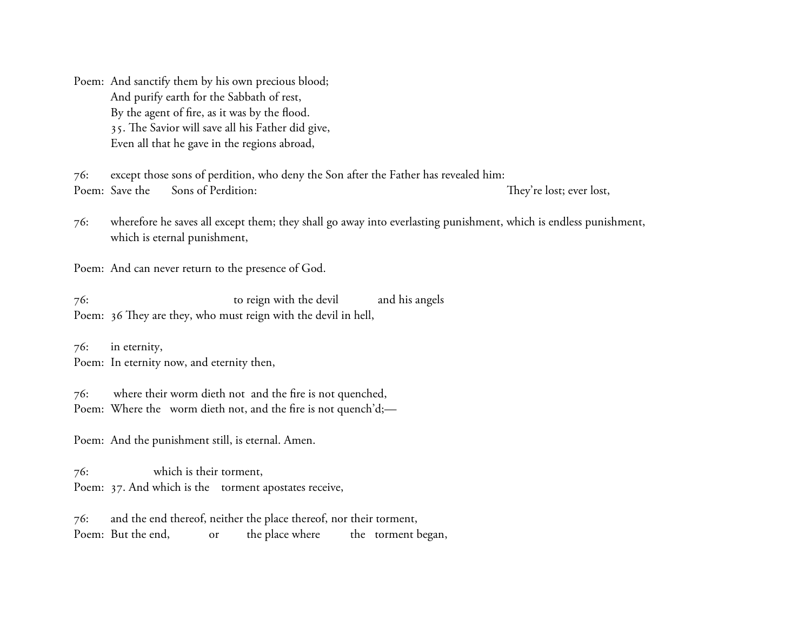Poem: And sanctify them by his own precious blood; And purify earth for the Sabbath of rest, By the agent of fire, as it was by the flood. 35. The Savior will save all his Father did give, Even all that he gave in the regions abroad,

76: except those sons of perdition, who deny the Son after the Father has revealed him: Poem: Save the Sons of Perdition: They're lost; ever lost,

76: wherefore he saves all except them; they shall go away into everlasting punishment, which is endless punishment, which is eternal punishment,

Poem: And can never return to the presence of God.

76: to reign with the devil and his angels Poem: 36 They are they, who must reign with the devil in hell,

76: in eternity, Poem: In eternity now, and eternity then,

76: where their worm dieth not and the fire is not quenched, Poem: Where the worm dieth not, and the fire is not quench'd;-

Poem: And the punishment still, is eternal. Amen.

76: which is their torment, Poem: 37. And which is the torment apostates receive,

76: and the end thereof, neither the place thereof, nor their torment, Poem: But the end, or the place where the torment began,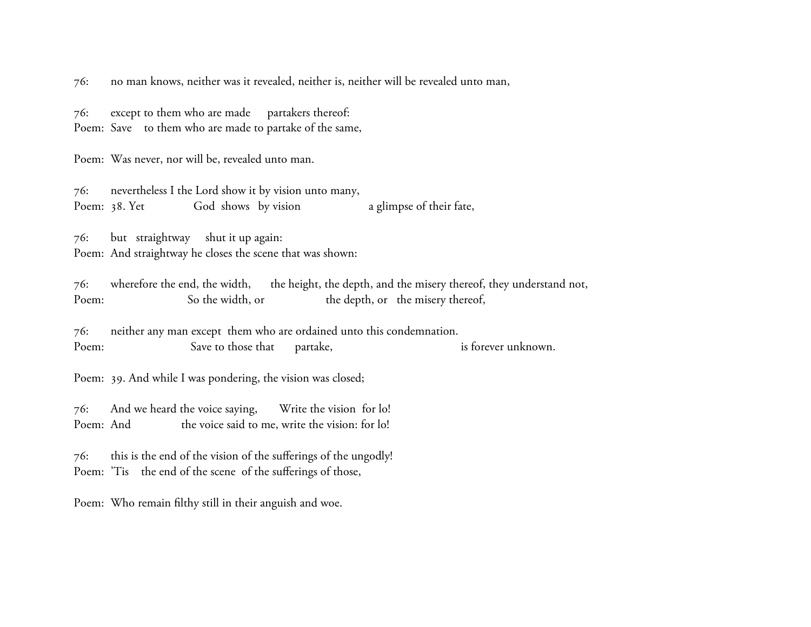76: no man knows, neither was it revealed, neither is, neither will be revealed unto man,

76: except to them who are made partakers thereof:

Poem: Save to them who are made to partake of the same,

Poem: Was never, nor will be, revealed unto man.

76: nevertheless I the Lord show it by vision unto many, Poem: 38. Yet God shows by vision a glimpse of their fate,

76: but straightway shut it up again: Poem: And straightway he closes the scene that was shown:

76: wherefore the end, the width, the height, the depth, and the misery thereof, they understand not, Poem: So the width, or the depth, or the misery thereof,

76: neither any man except them who are ordained unto this condemnation. Poem: Save to those that partake, is forever unknown.

Poem: 39. And while I was pondering, the vision was closed;

76: And we heard the voice saying, Write the vision for lo! Poem: And the voice said to me, write the vision: for lo!

76: this is the end of the vision of the sufferings of the ungodly! Poem: 'Tis the end of the scene of the sufferings of those,

Poem: Who remain filthy still in their anguish and woe.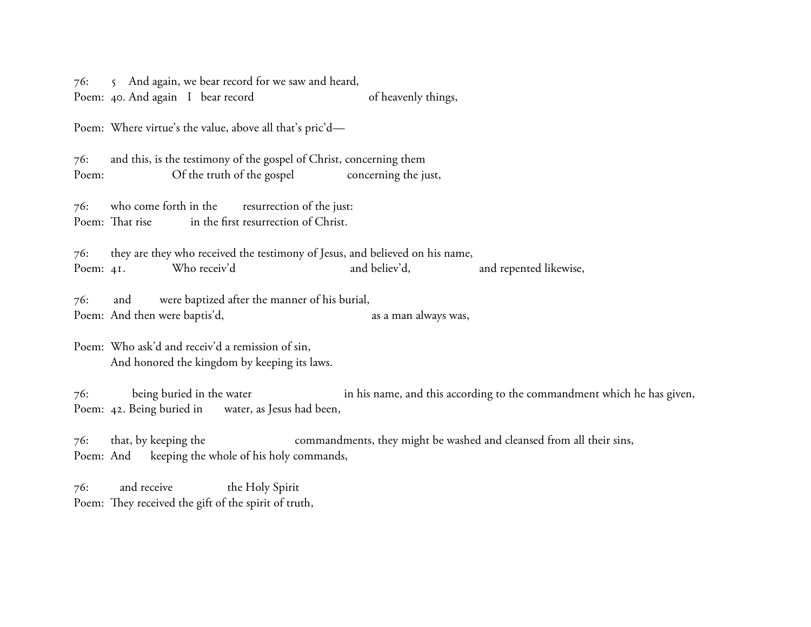76: 5 And again, we bear record for we saw and heard,

Poem: 40. And again I bear record of heavenly things,

Poem: Where virtue's the value, above all that's pric'd—

76: and this, is the testimony of the gospel of Christ, concerning them Poem: Of the truth of the gospel concerning the just,

76: who come forth in the resurrection of the just: Poem: That rise in the first resurrection of Christ.

76: they are they who received the testimony of Jesus, and believed on his name, Poem: 41. Who receiv'd and believ'd, and repented likewise,

76: and were baptized after the manner of his burial, Poem: And then were baptis'd, as a man always was,

Poem: Who ask'd and receiv'd a remission of sin, And honored the kingdom by keeping its laws.

76: being buried in the water in his name, and this according to the commandment which he has given, Poem: 42. Being buried in water, as Jesus had been,

76: that, by keeping the commandments, they might be washed and cleansed from all their sins, Poem: And keeping the whole of his holy commands,

76: and receive the Holy Spirit Poem: They received the gift of the spirit of truth,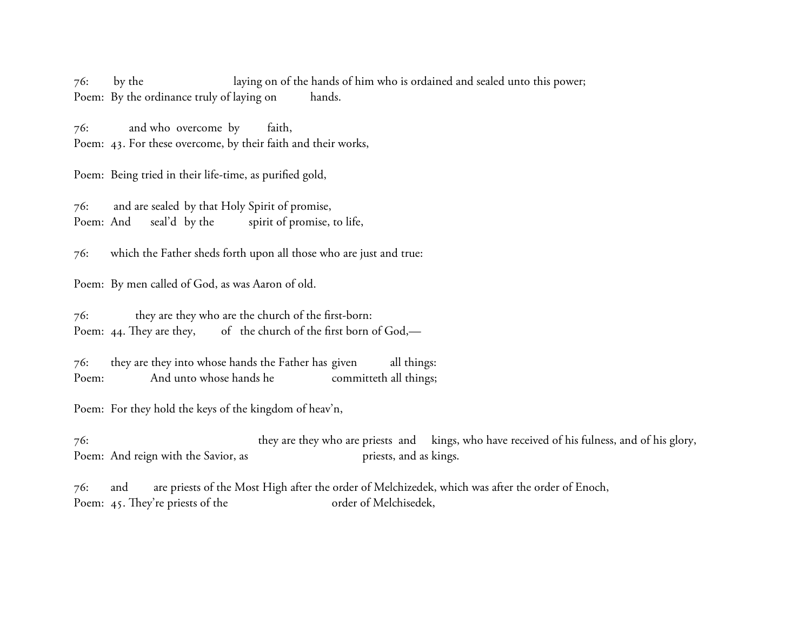76: by the laying on of the hands of him who is ordained and sealed unto this power; Poem: By the ordinance truly of laying on hands.

76: and who overcome by faith, Poem: 43. For these overcome, by their faith and their works,

Poem: Being tried in their life-time, as purified gold,

76: and are sealed by that Holy Spirit of promise, Poem: And seal'd by the spirit of promise, to life,

76: which the Father sheds forth upon all those who are just and true:

Poem: By men called of God, as was Aaron of old.

76: they are they who are the church of the first-born: Poem: 44. They are they, of the church of the first born of God,—

76: they are they into whose hands the Father has given all things: Poem: And unto whose hands he committeth all things;

Poem: For they hold the keys of the kingdom of heav'n,

76: they are they who are priests and kings, who have received of his fulness, and of his glory, Poem: And reign with the Savior, as priests, and as kings.

76: and are priests of the Most High after the order of Melchizedek, which was after the order of Enoch, Poem: 45. They're priests of the order of Melchisedek,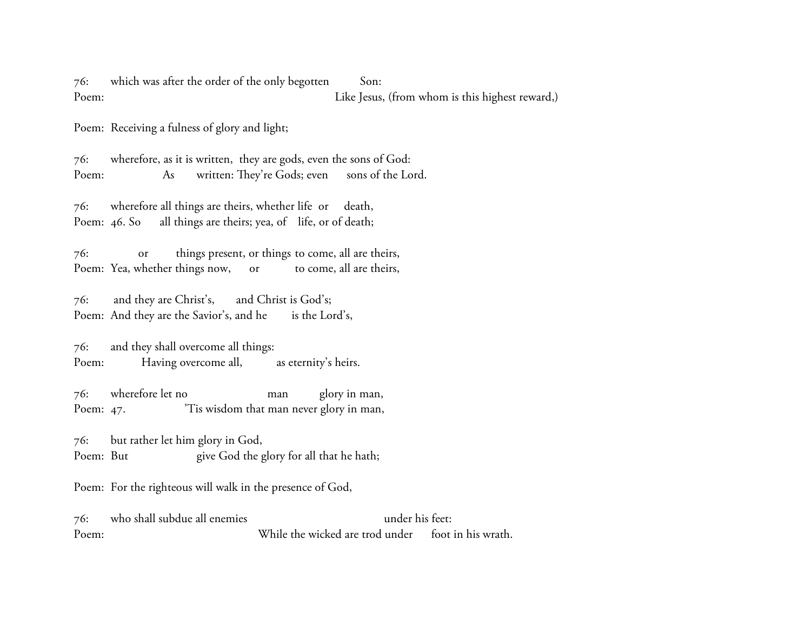76: which was after the order of the only begotten Son: Poem: Like Jesus, (from whom is this highest reward,)

Poem: Receiving a fulness of glory and light;

76: wherefore, as it is written, they are gods, even the sons of God: Poem: As written: They're Gods; even sons of the Lord.

76: wherefore all things are theirs, whether life or death, Poem: 46. So all things are theirs; yea, of life, or of death;

76: or things present, or things to come, all are theirs, Poem: Yea, whether things now, or to come, all are theirs,

76: and they are Christ's, and Christ is God's; Poem: And they are the Savior's, and he is the Lord's,

76: and they shall overcome all things: Poem: Having overcome all, as eternity's heirs.

76: wherefore let no man glory in man, Poem: 47. <sup>'Tis</sup> wisdom that man never glory in man,

76: but rather let him glory in God, Poem: But give God the glory for all that he hath;

Poem: For the righteous will walk in the presence of God,

76: who shall subdue all enemies under his feet: Poem: While the wicked are trod under foot in his wrath.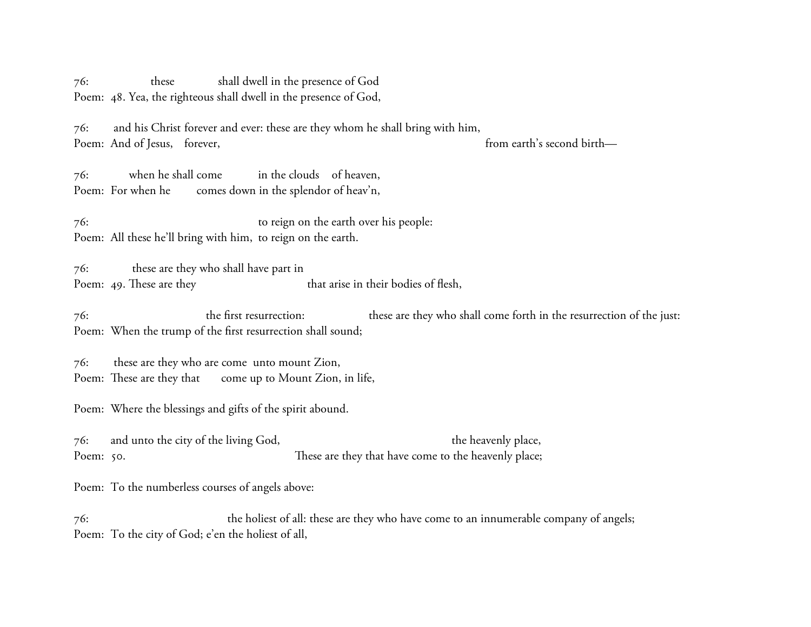76: these shall dwell in the presence of God Poem: 48. Yea, the righteous shall dwell in the presence of God,

76: and his Christ forever and ever: these are they whom he shall bring with him, Poem: And of Jesus, forever, from earth's second birth—

76: when he shall come in the clouds of heaven, Poem: For when he comes down in the splendor of heav'n,

76: to reign on the earth over his people: Poem: All these he'll bring with him, to reign on the earth.

76: these are they who shall have part in Poem: 49. These are they that arise in their bodies of flesh,

76: the first resurrection: these are they who shall come forth in the resurrection of the just: Poem: When the trump of the first resurrection shall sound;

76: these are they who are come unto mount Zion, Poem: These are they that come up to Mount Zion, in life,

Poem: Where the blessings and gifts of the spirit abound.

76: and unto the city of the living God, the heavenly place, Poem: 50. These are they that have come to the heavenly place;

Poem: To the numberless courses of angels above:

76: the holiest of all: these are they who have come to an innumerable company of angels; Poem: To the city of God; e'en the holiest of all,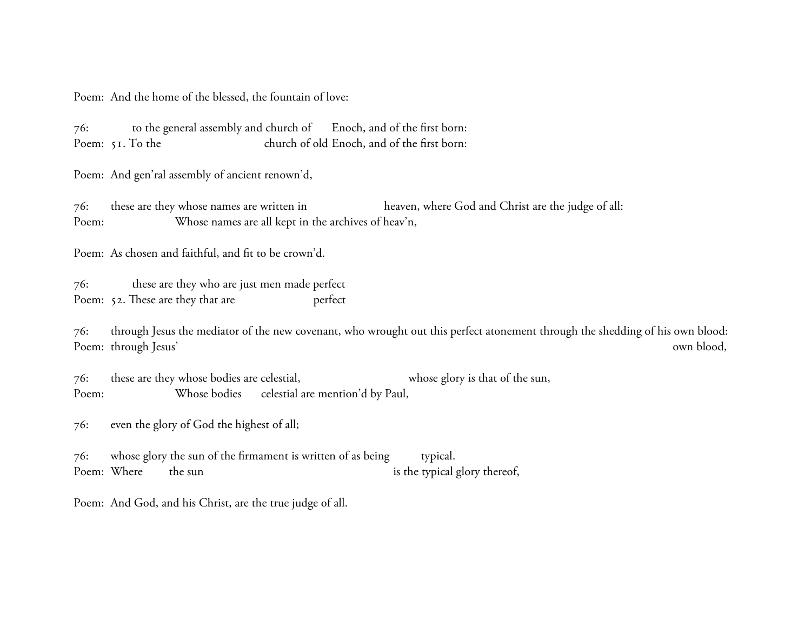Poem: And the home of the blessed, the fountain of love:

76: to the general assembly and church of Enoch, and of the first born: Poem: 51. To the church of old Enoch, and of the first born:

Poem: And gen'ral assembly of ancient renown'd,

76: these are they whose names are written in heaven, where God and Christ are the judge of all: Poem: Whose names are all kept in the archives of heav'n,

Poem: As chosen and faithful, and fit to be crown'd.

76: these are they who are just men made perfect Poem: 52. These are they that are perfect

76: through Jesus the mediator of the new covenant, who wrought out this perfect atonement through the shedding of his own blood: Poem: through Jesus' own blood,

76: these are they whose bodies are celestial, whose glory is that of the sun, Poem: Whose bodies celestial are mention'd by Paul,

76: even the glory of God the highest of all;

76: whose glory the sun of the firmament is written of as being typical. Poem: Where the sun is the typical glory thereof,

Poem: And God, and his Christ, are the true judge of all.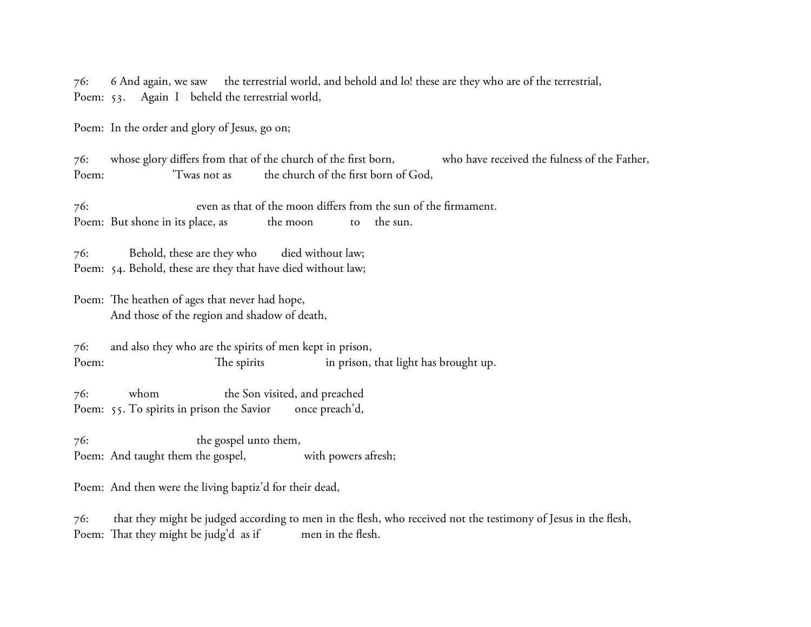76: 6 And again, we saw the terrestrial world, and behold and lo! these are they who are of the terrestrial, Poem: 53. Again I beheld the terrestrial world,

Poem: In the order and glory of Jesus, go on;

76: whose glory differs from that of the church of the first born, who have received the fulness of the Father, Poem:  $\frac{1}{2}$  'Twas not as the church of the first born of God,

76: even as that of the moon differs from the sun of the firmament. Poem: But shone in its place, as the moon to the sun.

76: Behold, these are they who died without law; Poem: 54. Behold, these are they that have died without law;

Poem: The heathen of ages that never had hope, And those of the region and shadow of death,

76: and also they who are the spirits of men kept in prison, Poem: The spirits in prison, that light has brought up.

76: whom the Son visited, and preached Poem: 55. To spirits in prison the Savior once preach'd,

76: the gospel unto them, Poem: And taught them the gospel, with powers afresh;

Poem: And then were the living baptiz'd for their dead,

76: that they might be judged according to men in the flesh, who received not the testimony of Jesus in the flesh, Poem: That they might be judg'd as if men in the flesh.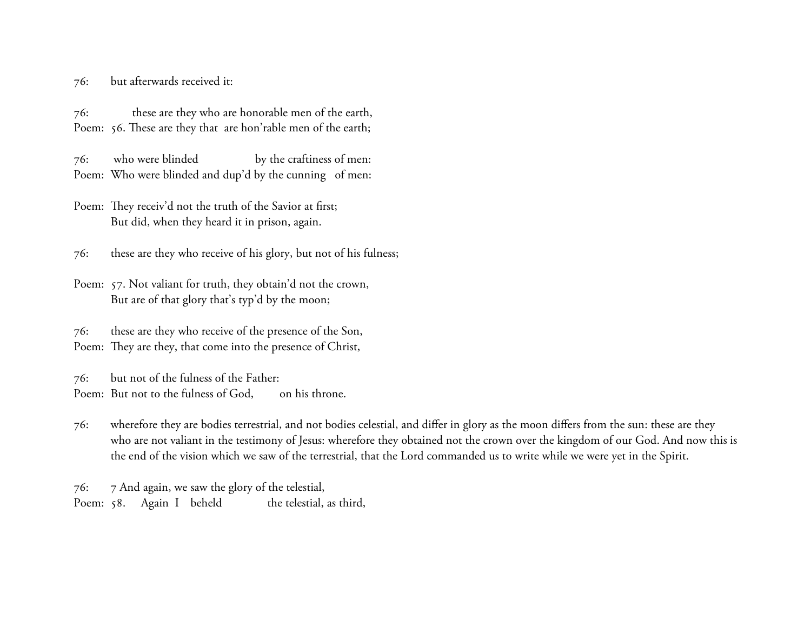76: but afterwards received it:

76: these are they who are honorable men of the earth, Poem: 56. These are they that are hon'rable men of the earth;

76: who were blinded by the craftiness of men: Poem: Who were blinded and dup'd by the cunning of men:

Poem: They receiv'd not the truth of the Savior at first; But did, when they heard it in prison, again.

76: these are they who receive of his glory, but not of his fulness;

Poem: 57. Not valiant for truth, they obtain'd not the crown, But are of that glory that's typ'd by the moon;

76: these are they who receive of the presence of the Son, Poem: They are they, that come into the presence of Christ,

76: but not of the fulness of the Father: Poem: But not to the fulness of God, on his throne.

76: wherefore they are bodies terrestrial, and not bodies celestial, and differ in glory as the moon differs from the sun: these are they who are not valiant in the testimony of Jesus: wherefore they obtained not the crown over the kingdom of our God. And now this is the end of the vision which we saw of the terrestrial, that the Lord commanded us to write while we were yet in the Spirit.

76: 7 And again, we saw the glory of the telestial, Poem: 58. Again I beheld the telestial, as third,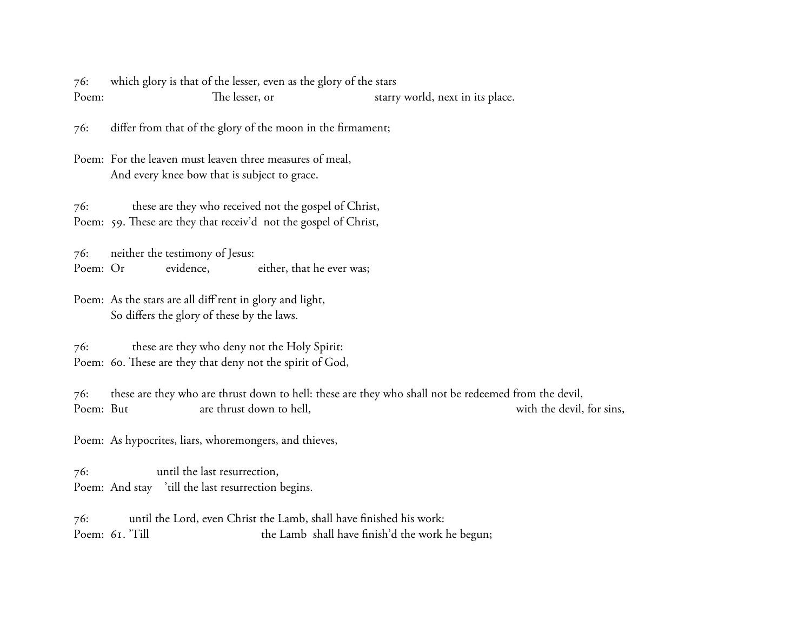76: which glory is that of the lesser, even as the glory of the stars Poem: The lesser, or starry world, next in its place.

76: differ from that of the glory of the moon in the firmament;

Poem: For the leaven must leaven three measures of meal, And every knee bow that is subject to grace.

76: these are they who received not the gospel of Christ, Poem: 59. These are they that receiv'd not the gospel of Christ,

76: neither the testimony of Jesus: Poem: Or evidence, either, that he ever was;

Poem: As the stars are all diff rent in glory and light, So differs the glory of these by the laws.

76: these are they who deny not the Holy Spirit: Poem: 60. These are they that deny not the spirit of God,

76: these are they who are thrust down to hell: these are they who shall not be redeemed from the devil, Poem: But are thrust down to hell, with the devil, for sins,

Poem: As hypocrites, liars, whoremongers, and thieves,

76: until the last resurrection, Poem: And stay 'till the last resurrection begins.

76: until the Lord, even Christ the Lamb, shall have finished his work: Poem: 61. 'Till the Lamb shall have finish'd the work he begun;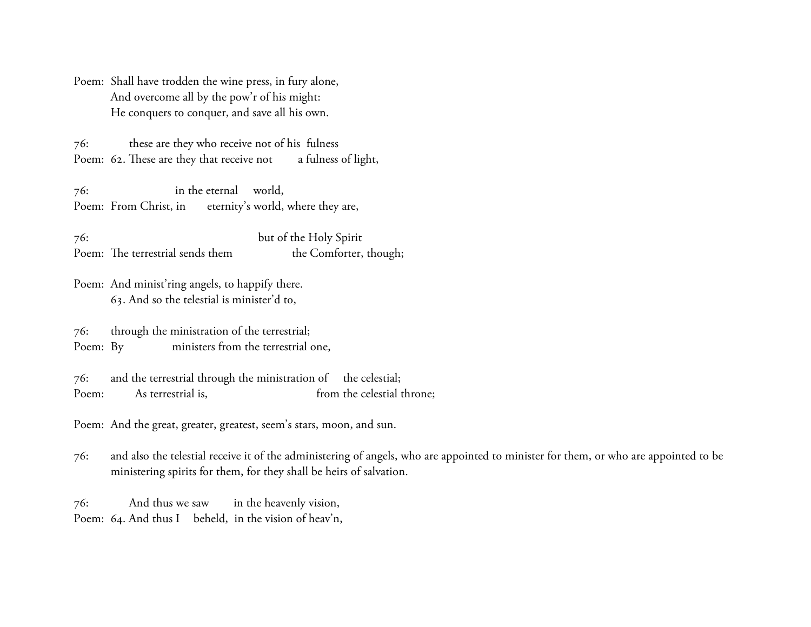Poem: Shall have trodden the wine press, in fury alone, And overcome all by the pow'r of his might: He conquers to conquer, and save all his own.

76: these are they who receive not of his fulness Poem: 62. These are they that receive not a fulness of light,

76: in the eternal world, Poem: From Christ, in eternity's world, where they are,

76: but of the Holy Spirit Poem: The terrestrial sends them the Comforter, though;

Poem: And minist'ring angels, to happify there. 63. And so the telestial is minister'd to,

76: through the ministration of the terrestrial; Poem: By ministers from the terrestrial one,

76: and the terrestrial through the ministration of the celestial; Poem: As terrestrial is, from the celestial throne;

Poem: And the great, greater, greatest, seem's stars, moon, and sun.

76: and also the telestial receive it of the administering of angels, who are appointed to minister for them, or who are appointed to be ministering spirits for them, for they shall be heirs of salvation.

76: And thus we saw in the heavenly vision, Poem: 64. And thus I beheld, in the vision of heav'n,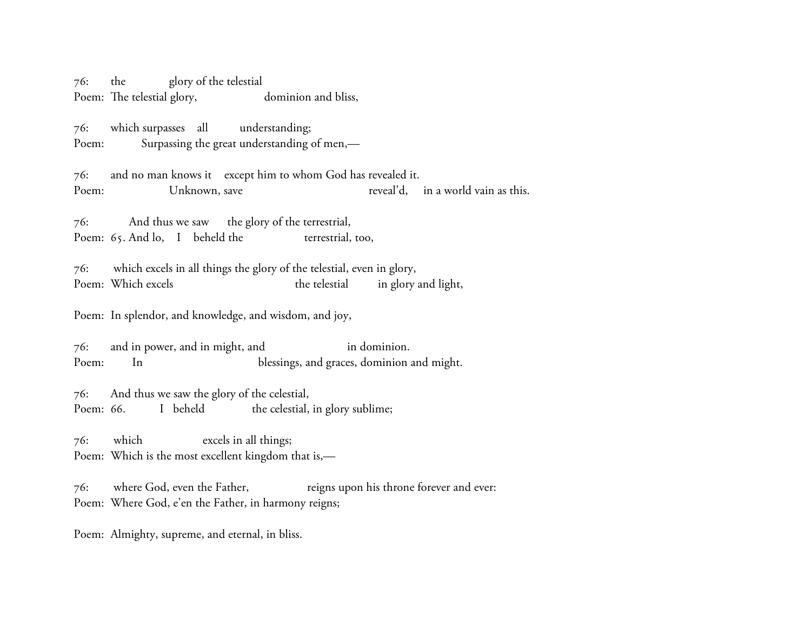76: the glory of the telestial Poem: The telestial glory, dominion and bliss,

76: which surpasses all understanding; Poem: Surpassing the great understanding of men,—

76: and no man knows it except him to whom God has revealed it. Poem: Unknown, save reveal'd, in a world vain as this.

76: And thus we saw the glory of the terrestrial, Poem: 65. And lo, I beheld the terrestrial, too,

76: which excels in all things the glory of the telestial, even in glory, Poem: Which excels the telestial in glory and light,

Poem: In splendor, and knowledge, and wisdom, and joy,

76: and in power, and in might, and in dominion. Poem: In blessings, and graces, dominion and might.

76: And thus we saw the glory of the celestial, Poem: 66. I beheld the celestial, in glory sublime;

76: which excels in all things; Poem: Which is the most excellent kingdom that is,—

76: where God, even the Father, reigns upon his throne forever and ever: Poem: Where God, e'en the Father, in harmony reigns;

Poem: Almighty, supreme, and eternal, in bliss.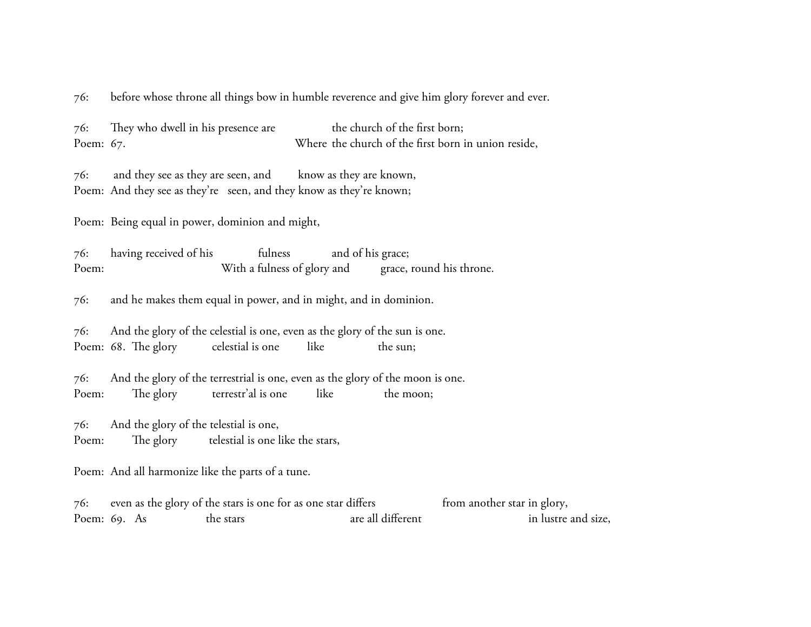76: before whose throne all things bow in humble reverence and give him glory forever and ever.

76: They who dwell in his presence are the church of the first born; Poem: 67. Where the church of the first born in union reside,

76: and they see as they are seen, and know as they are known, Poem: And they see as they're seen, and they know as they're known;

Poem: Being equal in power, dominion and might,

76: having received of his fulness and of his grace; Poem: With a fulness of glory and grace, round his throne.

76: and he makes them equal in power, and in might, and in dominion.

76: And the glory of the celestial is one, even as the glory of the sun is one. Poem: 68. The glory celestial is one like the sun;

76: And the glory of the terrestrial is one, even as the glory of the moon is one. Poem: The glory terrestr'al is one like the moon;

76: And the glory of the telestial is one, Poem: The glory telestial is one like the stars,

Poem: And all harmonize like the parts of a tune.

76: even as the glory of the stars is one for as one star differs from another star in glory, Poem: 69. As the stars are all different in lustre and size,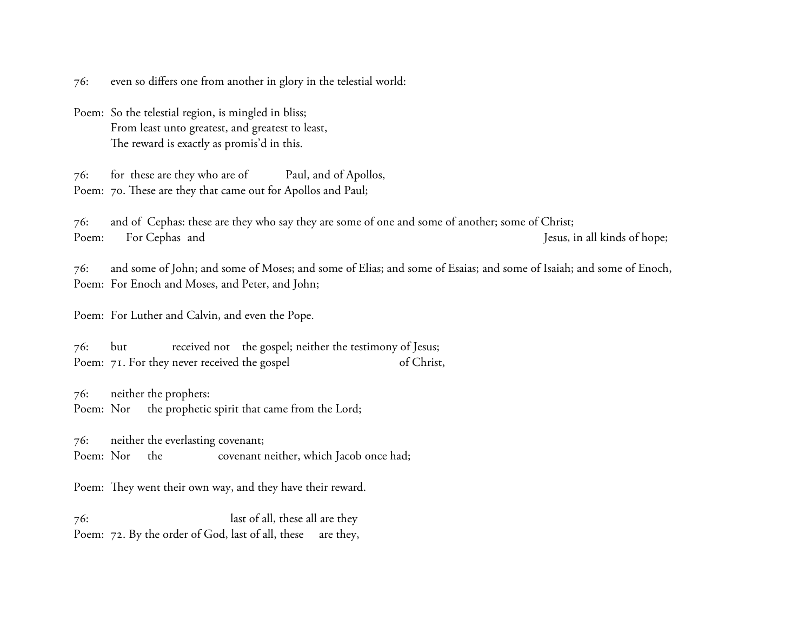76: even so differs one from another in glory in the telestial world:

Poem: So the telestial region, is mingled in bliss; From least unto greatest, and greatest to least, The reward is exactly as promis'd in this.

76: for these are they who are of Paul, and of Apollos, Poem: 70. These are they that came out for Apollos and Paul;

76: and of Cephas: these are they who say they are some of one and some of another; some of Christ; Poem: For Cephas and Jesus, in all kinds of hope;

76: and some of John; and some of Moses; and some of Elias; and some of Esaias; and some of Isaiah; and some of Enoch, Poem: For Enoch and Moses, and Peter, and John;

Poem: For Luther and Calvin, and even the Pope.

76: but received not the gospel; neither the testimony of Jesus; Poem: 71. For they never received the gospel of Christ,

76: neither the prophets: Poem: Nor the prophetic spirit that came from the Lord;

76: neither the everlasting covenant; Poem: Nor the covenant neither, which Jacob once had;

Poem: They went their own way, and they have their reward.

76: last of all, these all are they Poem: 72. By the order of God, last of all, these are they,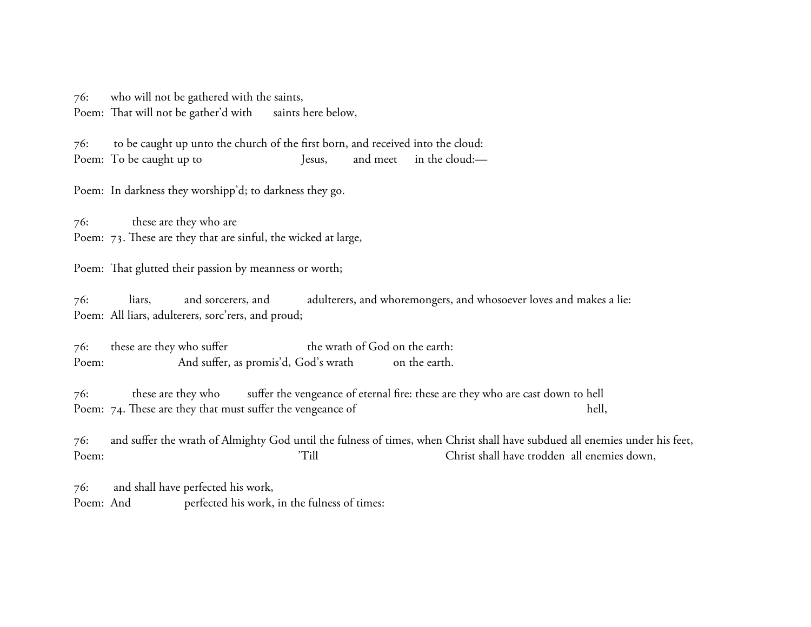76: who will not be gathered with the saints, Poem: That will not be gather'd with saints here below,

76: to be caught up unto the church of the first born, and received into the cloud: Poem: To be caught up to Jesus, and meet in the cloud:—

Poem: In darkness they worshipp'd; to darkness they go.

76: these are they who are Poem: 73. These are they that are sinful, the wicked at large,

Poem: That glutted their passion by meanness or worth;

76: liars, and sorcerers, and adulterers, and whoremongers, and whosoever loves and makes a lie: Poem: All liars, adulterers, sorc'rers, and proud;

76: these are they who suffer the wrath of God on the earth: Poem: And suffer, as promis'd, God's wrath on the earth.

76: these are they who suffer the vengeance of eternal fire: these are they who are cast down to hell Poem: 74. These are they that must suffer the vengeance of hell,

76: and suffer the wrath of Almighty God until the fulness of times, when Christ shall have subdued all enemies under his feet, Poem:  $1$  'Till Christ shall have trodden all enemies down,

76: and shall have perfected his work, Poem: And perfected his work, in the fulness of times: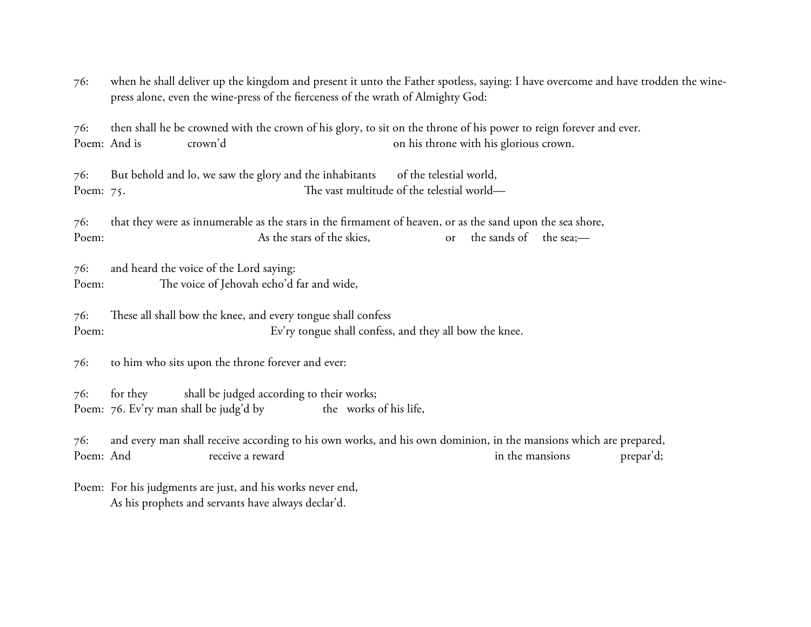76: when he shall deliver up the kingdom and present it unto the Father spotless, saying: I have overcome and have trodden the winepress alone, even the wine-press of the fierceness of the wrath of Almighty God:

76: then shall he be crowned with the crown of his glory, to sit on the throne of his power to reign forever and ever. Poem: And is crown'd crown'd crown'd crown.

76: But behold and lo, we saw the glory and the inhabitants of the telestial world, Poem: 75. Poem: 75.

76: that they were as innumerable as the stars in the firmament of heaven, or as the sand upon the sea shore, Poem: As the stars of the skies, or the sands of the sea;—

76: and heard the voice of the Lord saying: Poem: The voice of Jehovah echo'd far and wide,

 $76:$  These all shall bow the knee, and every tongue shall confess Poem: Ev'ry tongue shall confess, and they all bow the knee.

76: to him who sits upon the throne forever and ever:

76: for they shall be judged according to their works; Poem: 76. Ev'ry man shall be judg'd by the works of his life,

76: and every man shall receive according to his own works, and his own dominion, in the mansions which are prepared, Poem: And receive a reward in the mansions prepar'd;

Poem: For his judgments are just, and his works never end, As his prophets and servants have always declar'd.